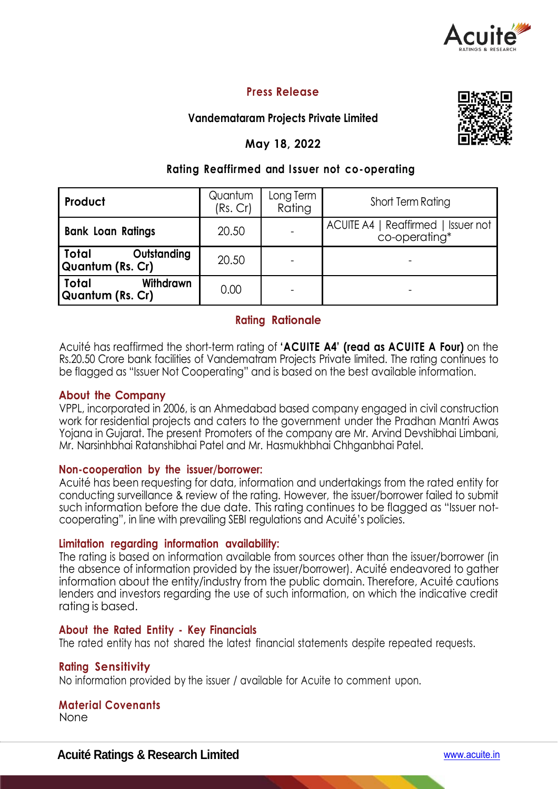

# **Press Release**

## **Vandemataram Projects Private Limited**

## **May 18, 2022**



## **Rating Reaffirmed and I ssuer not co-operating**

| Product                                              | Quantum<br>(Rs. Cr) | Long Term<br>Rating | Short Term Rating                                    |
|------------------------------------------------------|---------------------|---------------------|------------------------------------------------------|
| <b>Bank Loan Ratings</b>                             | 20.50               |                     | ACUITE A4   Reaffirmed   Issuer not<br>co-operating* |
| Total<br>Outstanding<br>Quantum (Rs. Cr)             | 20.50               |                     |                                                      |
| <b>Total</b><br><b>Withdrawn</b><br>Quantum (Rs. Cr) | 0.00                |                     |                                                      |

# **Rating Rationale**

Acuité has reaffirmed the short-term rating of **'ACUITE A4' (read as ACUITE A Four)** on the Rs.20.50 Crore bank facilities of Vandematram Projects Private limited. The rating continues to be flagged as "Issuer Not Cooperating" and is based on the best available information.

## **About the Company**

VPPL, incorporated in 2006, is an Ahmedabad based company engaged in civil construction work for residential projects and caters to the government under the Pradhan Mantri Awas Yojana in Gujarat. The present Promoters of the company are Mr. Arvind Devshibhai Limbani, Mr. Narsinhbhai Ratanshibhai Patel and Mr. Hasmukhbhai Chhganbhai Patel.

### **Non-cooperation by the issuer/borrower:**

Acuité has been requesting for data, information and undertakings from the rated entity for conducting surveillance & review of the rating. However, the issuer/borrower failed to submit such information before the due date. This rating continues to be flagged as "Issuer notcooperating", in line with prevailing SEBI regulations and Acuité's policies.

### **Limitation regarding information availability:**

The rating is based on information available from sources other than the issuer/borrower (in the absence of information provided by the issuer/borrower). Acuité endeavored to gather information about the entity/industry from the public domain. Therefore, Acuité cautions lenders and investors regarding the use of such information, on which the indicative credit rating is based.

### **About the Rated Entity - Key Financials**

The rated entity has not shared the latest financial statements despite repeated requests.

### **Rating Sensitivity**

No information provided by the issuer / available for Acuite to comment upon.

## **Material Covenants**

None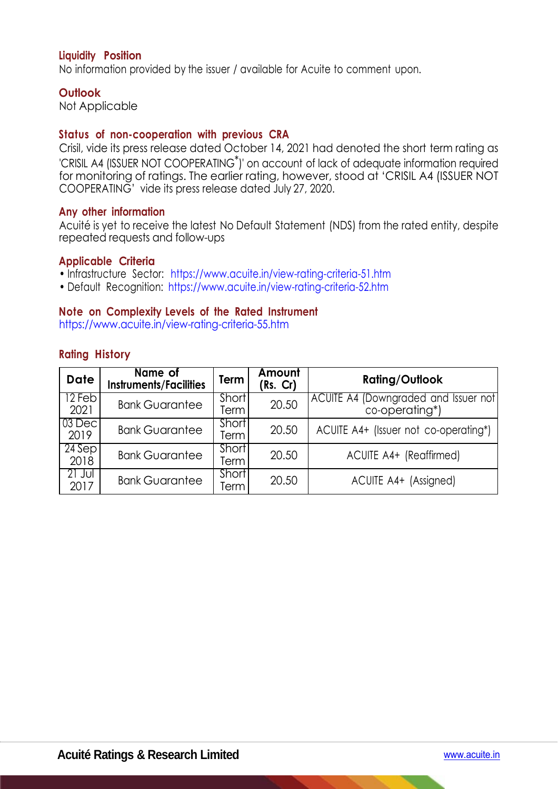## **Liquidity Position**

No information provided by the issuer / available for Acuite to comment upon.

### **Outlook**

Not Applicable

## **Status of non-cooperation with previous CRA**

Crisil, vide its press release dated October 14, 2021 had denoted the short term rating as 'CRISIL A4 (ISSUER NOT COOPERATING\*)' on account of lack of adequate information required for monitoring of ratings. The earlier rating, however, stood at 'CRISIL A4 (ISSUER NOT COOPERATING' vide its press release dated July 27, 2020.

### **Any other information**

Acuité is yet to receive the latest No Default Statement (NDS) from the rated entity, despite repeated requests and follow-ups

#### **Applicable Criteria**

- Infrastructure Sector: https://www.acuite.in/view-rating-criteria-51.htm
- Default Recognition: https://www.acuite.in/view-rating-criteria-52.htm

### **Note on Complexity Levels of the Rated Instrument**

https://www.acuite.in/view-rating-criteria-55.htm

| <b>Date</b>      | Name of<br><b>Instruments/Facilities</b> | <b>Term</b>                | Amount<br>(Rs. Cr) | <b>Rating/Outlook</b>                                         |
|------------------|------------------------------------------|----------------------------|--------------------|---------------------------------------------------------------|
| 12 Feb<br>2021   | <b>Bank Guarantee</b>                    | Short <sup>1</sup><br>Term | 20.50              | <b>ACUITE A4 (Downgraded and Issuer not</b><br>co-operating*) |
| $03$ Dec<br>2019 | <b>Bank Guarantee</b>                    | Short <sup>1</sup><br>Term | 20.50              | ACUITE A4+ (Issuer not co-operating*)                         |
| $24$ Sep<br>2018 | <b>Bank Guarantee</b>                    | Short<br>Term              | 20.50              | ACUITE A4+ (Reaffirmed)                                       |
| $21$ Jul<br>2017 | <b>Bank Guarantee</b>                    | Short<br>Term              | 20.50              | ACUITE A4+ (Assigned)                                         |

## **Rating History**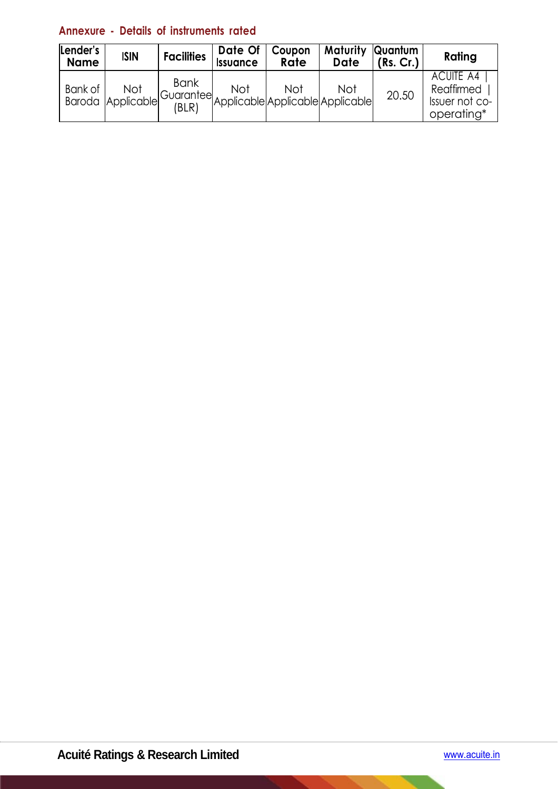# **Annexure - Details of instruments rated**

| Lender's<br><b>Name</b> | <b>ISIN</b>              | <b>Facilities</b>    | Date Of<br><b>Issuance</b>                                           | Coupon<br>Rate | Maturity<br><b>Date</b> | Quantum<br>(Rs. Cr.) | Rating                                                  |
|-------------------------|--------------------------|----------------------|----------------------------------------------------------------------|----------------|-------------------------|----------------------|---------------------------------------------------------|
| Bank of                 | Not<br>Baroda Applicable | <b>Bank</b><br>(BLR) | Not<br>rel Guaranteel<br>Applicable Applicable Applicable Applicable | Not            | Not                     | 20.50                | ACUITE A4<br>Reaffirmed<br>Issuer not co-<br>operating* |